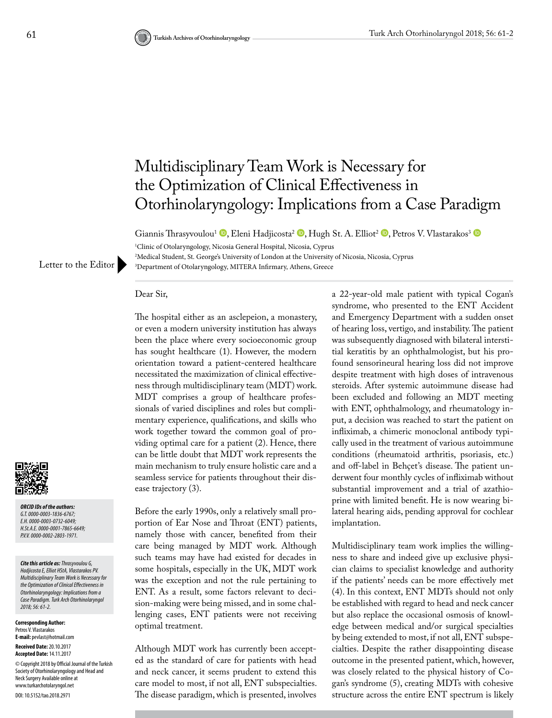## Multidisciplinary Team Work is Necessary for the Optimization of Clinical Effectiveness in Otorhinolaryngology: Implications from a Case Paradigm

Giannis Thrasyvoulou<sup>1</sup> [,](https://orcid.org/0000-0001-7865-6649) Eleni Hadjicosta<sup>2</sup> [,](https://orcid.org/0000-0003-0732-6049) Hugh St. A. Elliot<sup>2</sup> , Petros V. Vlastarakos<sup>3</sup> a

1 Clinic of Otolaryngology, Nicosia General Hospital, Nicosia, Cyprus 2 Medical Student, St. George's University of London at the University of Nicosia, Nicosia, Cyprus

Department of Otolaryngology, MITERA Infirmary, Athens, Greece

## Dear Sir,

The hospital either as an asclepeion, a monastery, or even a modern university institution has always been the place where every socioeconomic group has sought healthcare (1). However, the modern orientation toward a patient-centered healthcare necessitated the maximization of clinical effectiveness through multidisciplinary team (MDT) work. MDT comprises a group of healthcare professionals of varied disciplines and roles but complimentary experience, qualifications, and skills who work together toward the common goal of providing optimal care for a patient (2). Hence, there can be little doubt that MDT work represents the main mechanism to truly ensure holistic care and a seamless service for patients throughout their disease trajectory (3).

Before the early 1990s, only a relatively small proportion of Ear Nose and Throat (ENT) patients, namely those with cancer, benefited from their care being managed by MDT work. Although such teams may have had existed for decades in some hospitals, especially in the UK, MDT work was the exception and not the rule pertaining to ENT. As a result, some factors relevant to decision-making were being missed, and in some challenging cases, ENT patients were not receiving optimal treatment.

Although MDT work has currently been accepted as the standard of care for patients with head and neck cancer, it seems prudent to extend this care model to most, if not all, ENT subspecialties. The disease paradigm, which is presented, involves a 22-year-old male patient with typical Cogan's syndrome, who presented to the ENT Accident and Emergency Department with a sudden onset of hearing loss, vertigo, and instability. The patient was subsequently diagnosed with bilateral interstitial keratitis by an ophthalmologist, but his profound sensorineural hearing loss did not improve despite treatment with high doses of intravenous steroids. After systemic autoimmune disease had been excluded and following an MDT meeting with ENT, ophthalmology, and rheumatology input, a decision was reached to start the patient on infliximab, a chimeric monoclonal antibody typically used in the treatment of various autoimmune conditions (rheumatoid arthritis, psoriasis, etc.) and off-label in Behçet's disease. The patient underwent four monthly cycles of infliximab without substantial improvement and a trial of azathioprine with limited benefit. He is now wearing bilateral hearing aids, pending approval for cochlear implantation.

Multidisciplinary team work implies the willingness to share and indeed give up exclusive physician claims to specialist knowledge and authority if the patients' needs can be more effectively met (4). In this context, ENT MDTs should not only be established with regard to head and neck cancer but also replace the occasional osmosis of knowledge between medical and/or surgical specialties by being extended to most, if not all, ENT subspecialties. Despite the rather disappointing disease outcome in the presented patient, which, however, was closely related to the physical history of Cogan's syndrome (5), creating MDTs with cohesive structure across the entire ENT spectrum is likely



*ORCID IDs of the authors: G.T. 0000-0003-1836-6767; E.H. 0000-0003-0732-6049; H.St.A.E. 0000-0001-7865-6649; P.V.V. 0000-0002-2803-1971.*

Letter to the Editor

*Cite this article as: Thrasyvoulou G, Hadjicosta E, Elliot HStA, Vlastarakos PV. Multidisciplinary Team Work is Necessary for the Optimization of Clinical Effectiveness in Otorhinolaryngology: Implications from a Case Paradigm. Turk Arch Otorhinolaryngol 2018; 56: 61-2.*

**Corresponding Author:**  Petros V. Vlastarakos **E-mail:** pevlast@hotmail.com **Received Date:** 20.10.2017 **Accepted Date:** 14.11.2017 © Copyright 2018 by Official Journal of the Turkish Society of Otorhinolaryngology and Head and Neck Surgery Available online at www.turkarchotolaryngol.net DOI: 10.5152/tao.2018.2971